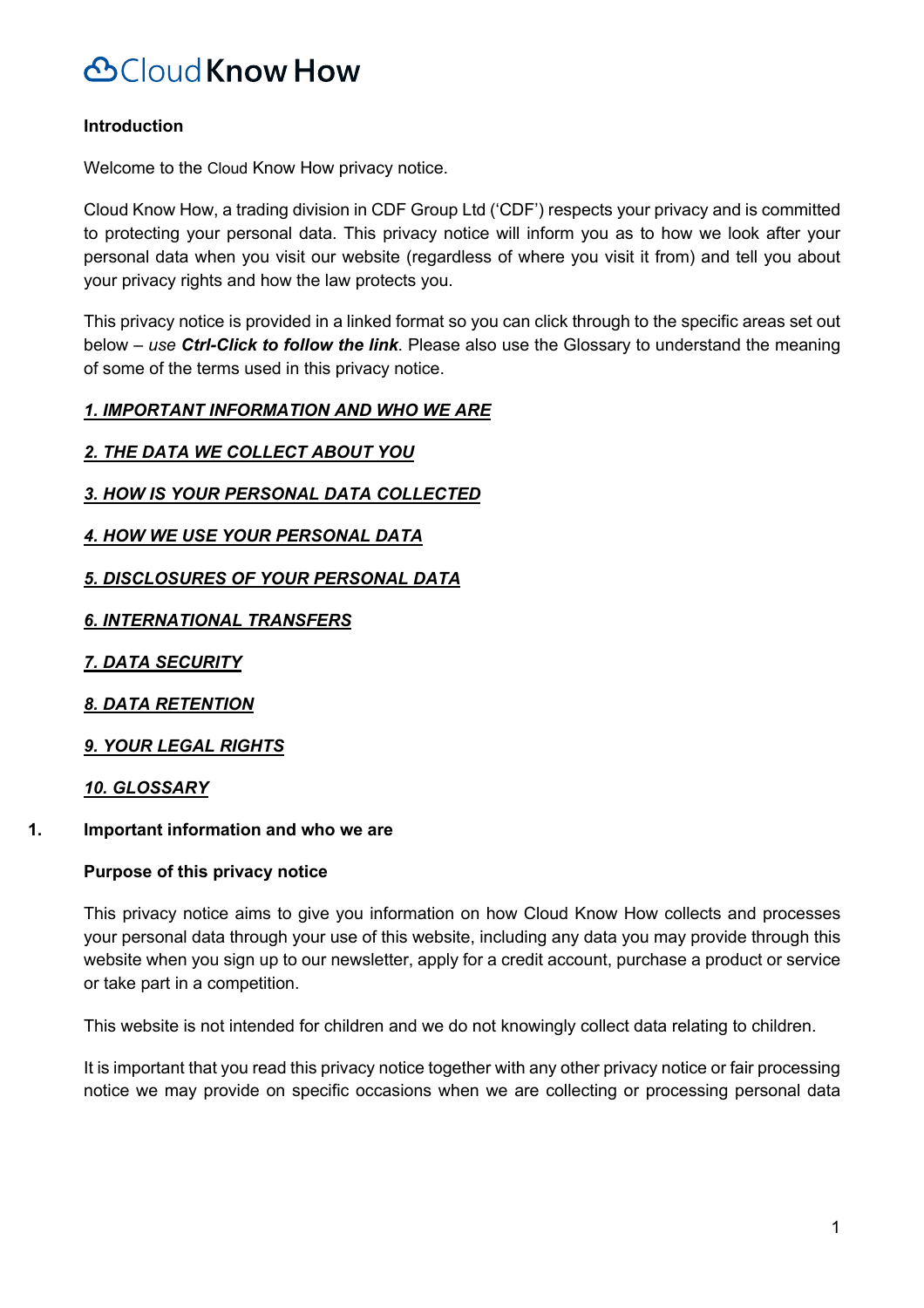### **Introduction**

Welcome to the Cloud Know How privacy notice.

Cloud Know How, a trading division in CDF Group Ltd ('CDF') respects your privacy and is committed to protecting your personal data. This privacy notice will inform you as to how we look after your personal data when you visit our website (regardless of where you visit it from) and tell you about your privacy rights and how the law protects you.

This privacy notice is provided in a linked format so you can click through to the specific areas set out below *– use Ctrl-Click to follow the link*. Please also use the Glossary to understand the meaning of some of the terms used in this privacy notice.

### *1. IMPORTANT INFORMATION AND WHO WE ARE*

### *2. THE DATA WE COLLECT ABOUT YOU*

- *3. HOW IS YOUR PERSONAL DATA COLLECTED*
- *4. HOW WE USE YOUR PERSONAL DATA*

### *5. DISCLOSURES OF YOUR PERSONAL DATA*

*6. INTERNATIONAL TRANSFERS*

*7. DATA SECURITY*

*8. DATA RETENTION*

*9. YOUR LEGAL RIGHTS*

### *10. GLOSSARY*

### **1. Important information and who we are**

### **Purpose of this privacy notice**

This privacy notice aims to give you information on how Cloud Know How collects and processes your personal data through your use of this website, including any data you may provide through this website when you sign up to our newsletter, apply for a credit account, purchase a product or service or take part in a competition.

This website is not intended for children and we do not knowingly collect data relating to children.

It is important that you read this privacy notice together with any other privacy notice or fair processing notice we may provide on specific occasions when we are collecting or processing personal data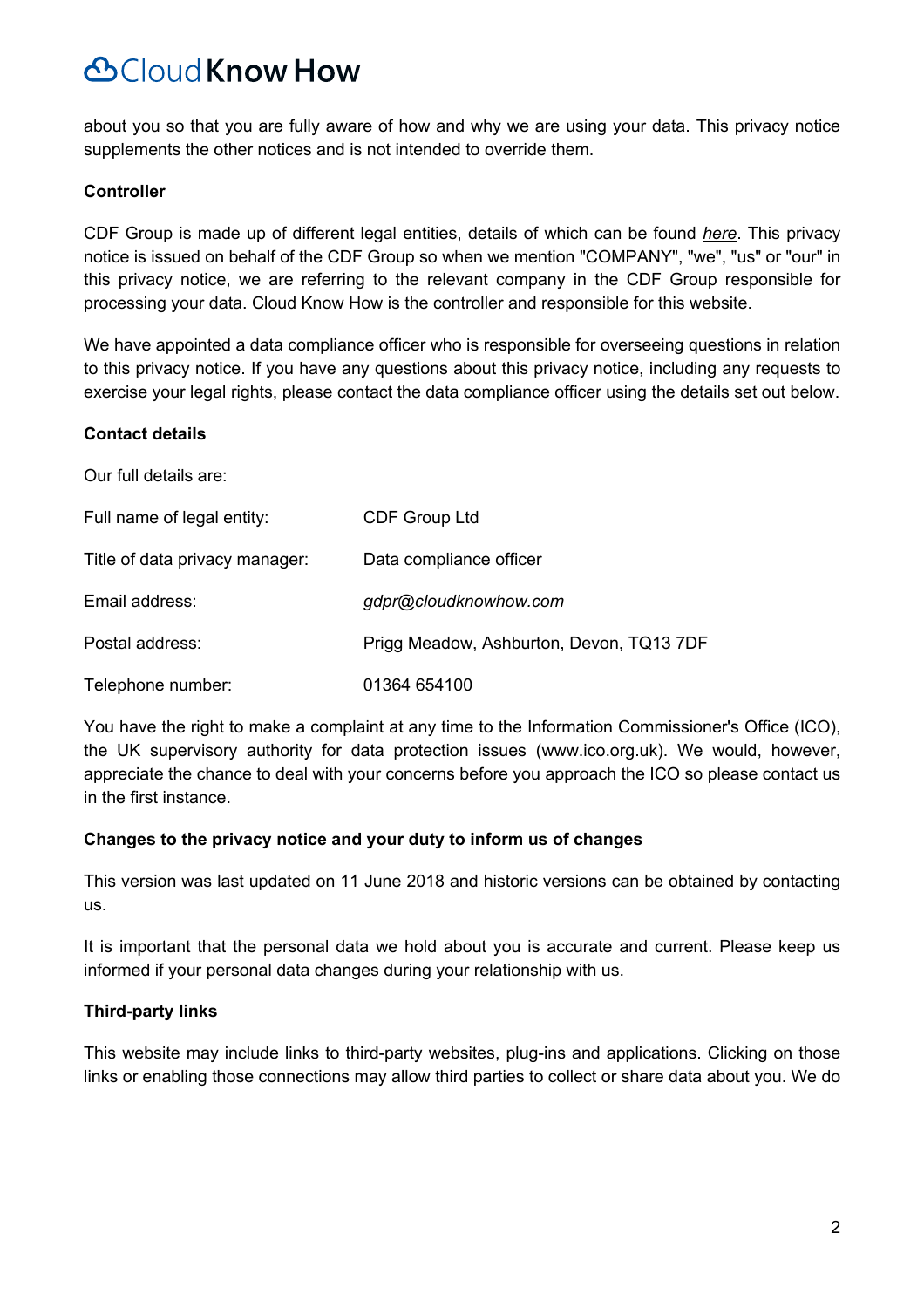about you so that you are fully aware of how and why we are using your data. This privacy notice supplements the other notices and is not intended to override them.

#### **Controller**

CDF Group is made up of different legal entities, details of which can be found *here*. This privacy notice is issued on behalf of the CDF Group so when we mention "COMPANY", "we", "us" or "our" in this privacy notice, we are referring to the relevant company in the CDF Group responsible for processing your data. Cloud Know How is the controller and responsible for this website.

We have appointed a data compliance officer who is responsible for overseeing questions in relation to this privacy notice. If you have any questions about this privacy notice, including any requests to exercise your legal rights, please contact the data compliance officer using the details set out below.

#### **Contact details**

Our full details are:

| Full name of legal entity:     | <b>CDF Group Ltd</b>                     |
|--------------------------------|------------------------------------------|
| Title of data privacy manager: | Data compliance officer                  |
| Email address:                 | gdpr@cloudknowhow.com                    |
| Postal address:                | Prigg Meadow, Ashburton, Devon, TQ13 7DF |
| Telephone number:              | 01364 654100                             |

You have the right to make a complaint at any time to the Information Commissioner's Office (ICO), the UK supervisory authority for data protection issues (www.ico.org.uk). We would, however, appreciate the chance to deal with your concerns before you approach the ICO so please contact us in the first instance.

#### **Changes to the privacy notice and your duty to inform us of changes**

This version was last updated on 11 June 2018 and historic versions can be obtained by contacting us.

It is important that the personal data we hold about you is accurate and current. Please keep us informed if your personal data changes during your relationship with us.

### **Third-party links**

This website may include links to third-party websites, plug-ins and applications. Clicking on those links or enabling those connections may allow third parties to collect or share data about you. We do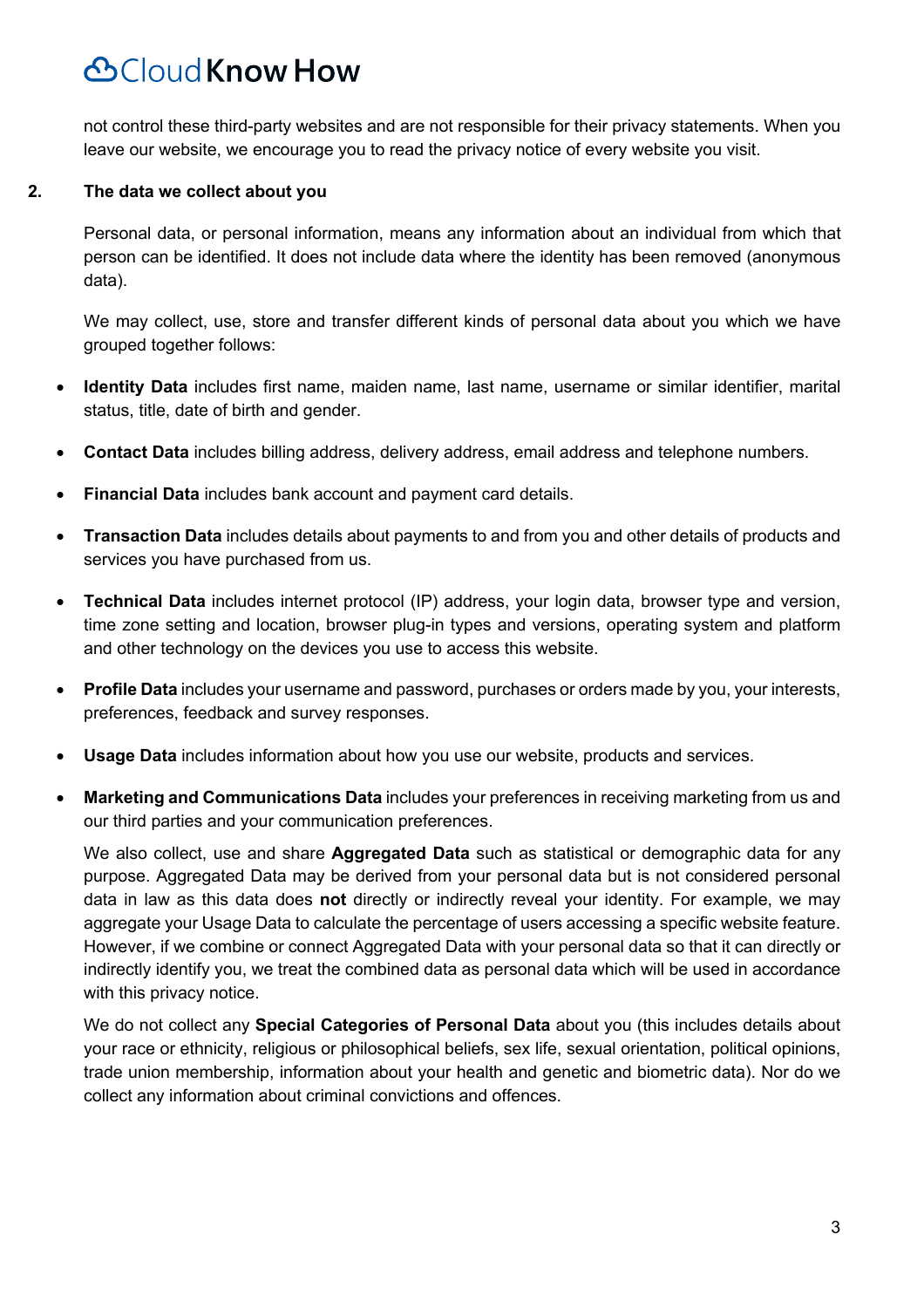not control these third-party websites and are not responsible for their privacy statements. When you leave our website, we encourage you to read the privacy notice of every website you visit.

#### **2. The data we collect about you**

Personal data, or personal information, means any information about an individual from which that person can be identified. It does not include data where the identity has been removed (anonymous data).

We may collect, use, store and transfer different kinds of personal data about you which we have grouped together follows:

- **Identity Data** includes first name, maiden name, last name, username or similar identifier, marital status, title, date of birth and gender.
- **Contact Data** includes billing address, delivery address, email address and telephone numbers.
- **Financial Data** includes bank account and payment card details.
- **Transaction Data** includes details about payments to and from you and other details of products and services you have purchased from us.
- **Technical Data** includes internet protocol (IP) address, your login data, browser type and version, time zone setting and location, browser plug-in types and versions, operating system and platform and other technology on the devices you use to access this website.
- **Profile Data** includes your username and password, purchases or orders made by you, your interests, preferences, feedback and survey responses.
- **Usage Data** includes information about how you use our website, products and services.
- **Marketing and Communications Data** includes your preferences in receiving marketing from us and our third parties and your communication preferences.

We also collect, use and share **Aggregated Data** such as statistical or demographic data for any purpose. Aggregated Data may be derived from your personal data but is not considered personal data in law as this data does **not** directly or indirectly reveal your identity. For example, we may aggregate your Usage Data to calculate the percentage of users accessing a specific website feature. However, if we combine or connect Aggregated Data with your personal data so that it can directly or indirectly identify you, we treat the combined data as personal data which will be used in accordance with this privacy notice.

We do not collect any **Special Categories of Personal Data** about you (this includes details about your race or ethnicity, religious or philosophical beliefs, sex life, sexual orientation, political opinions, trade union membership, information about your health and genetic and biometric data). Nor do we collect any information about criminal convictions and offences.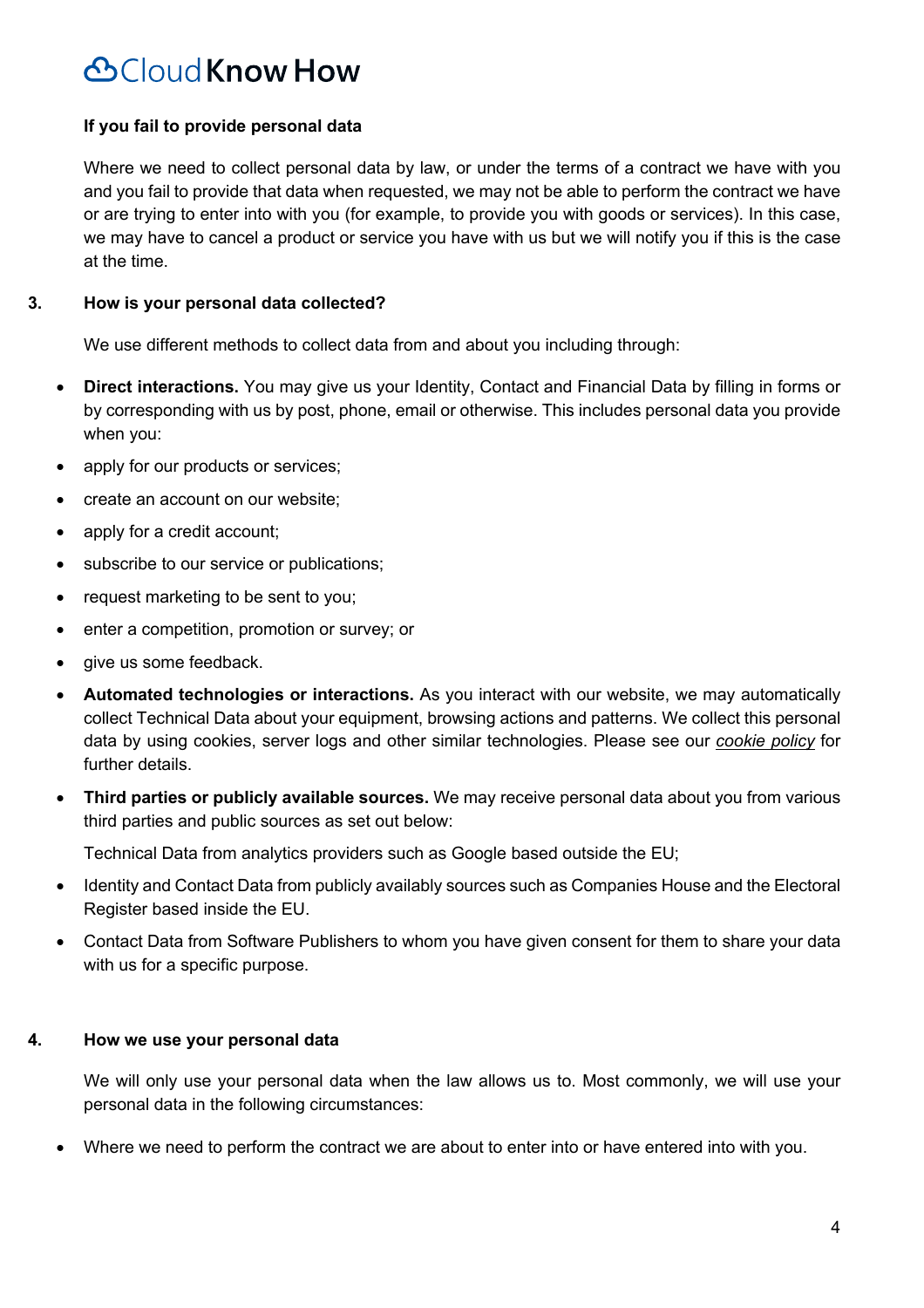### **If you fail to provide personal data**

Where we need to collect personal data by law, or under the terms of a contract we have with you and you fail to provide that data when requested, we may not be able to perform the contract we have or are trying to enter into with you (for example, to provide you with goods or services). In this case, we may have to cancel a product or service you have with us but we will notify you if this is the case at the time.

### **3. How is your personal data collected?**

We use different methods to collect data from and about you including through:

- **Direct interactions.** You may give us your Identity, Contact and Financial Data by filling in forms or by corresponding with us by post, phone, email or otherwise. This includes personal data you provide when you:
- apply for our products or services;
- create an account on our website;
- apply for a credit account;
- subscribe to our service or publications;
- request marketing to be sent to you;
- enter a competition, promotion or survey; or
- give us some feedback.
- **Automated technologies or interactions.** As you interact with our website, we may automatically collect Technical Data about your equipment, browsing actions and patterns. We collect this personal data by using cookies, server logs and other similar technologies. Please see our *cookie policy* for further details.
- **Third parties or publicly available sources.** We may receive personal data about you from various third parties and public sources as set out below:

Technical Data from analytics providers such as Google based outside the EU;

- Identity and Contact Data from publicly availably sources such as Companies House and the Electoral Register based inside the EU.
- Contact Data from Software Publishers to whom you have given consent for them to share your data with us for a specific purpose.

### **4. How we use your personal data**

We will only use your personal data when the law allows us to. Most commonly, we will use your personal data in the following circumstances:

• Where we need to perform the contract we are about to enter into or have entered into with you.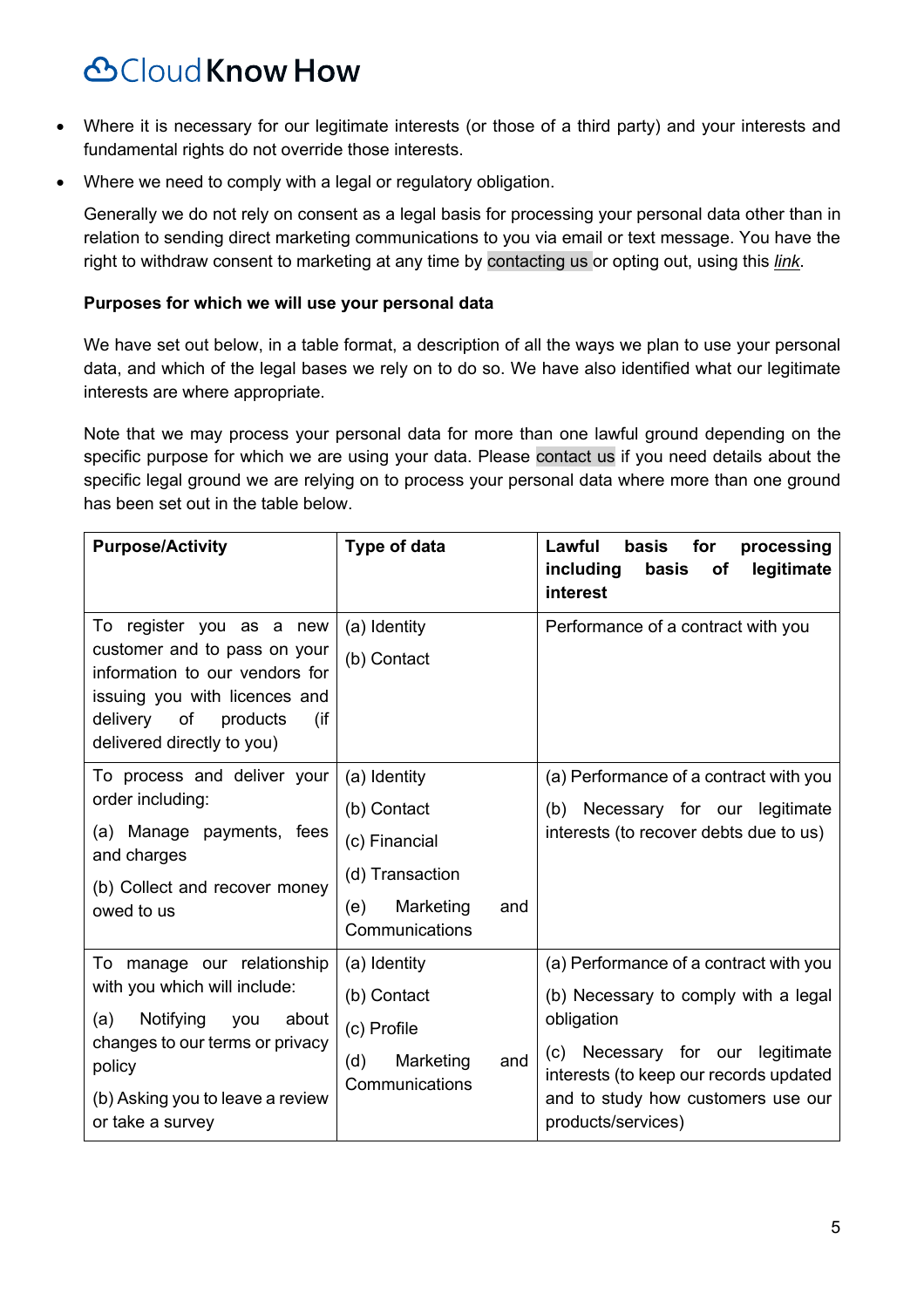- Where it is necessary for our legitimate interests (or those of a third party) and your interests and fundamental rights do not override those interests.
- Where we need to comply with a legal or regulatory obligation.

Generally we do not rely on consent as a legal basis for processing your personal data other than in relation to sending direct marketing communications to you via email or text message. You have the right to withdraw consent to marketing at any time by contacting us or opting out, using this *link*.

#### **Purposes for which we will use your personal data**

We have set out below, in a table format, a description of all the ways we plan to use your personal data, and which of the legal bases we rely on to do so. We have also identified what our legitimate interests are where appropriate.

Note that we may process your personal data for more than one lawful ground depending on the specific purpose for which we are using your data. Please contact us if you need details about the specific legal ground we are relying on to process your personal data where more than one ground has been set out in the table below.

| <b>Purpose/Activity</b>                                                                                                                                                                          | Type of data                                                                                                 | Lawful<br>basis<br>for<br>processing<br>including<br>basis<br>legitimate<br>of<br>interest                                                                                                                                             |
|--------------------------------------------------------------------------------------------------------------------------------------------------------------------------------------------------|--------------------------------------------------------------------------------------------------------------|----------------------------------------------------------------------------------------------------------------------------------------------------------------------------------------------------------------------------------------|
| To register you as a new<br>customer and to pass on your<br>information to our vendors for<br>issuing you with licences and<br>of<br>delivery<br>products<br>(if<br>delivered directly to you)   | (a) Identity<br>(b) Contact                                                                                  | Performance of a contract with you                                                                                                                                                                                                     |
| To process and deliver your<br>order including:<br>(a) Manage payments, fees<br>and charges<br>(b) Collect and recover money<br>owed to us                                                       | (a) Identity<br>(b) Contact<br>(c) Financial<br>(d) Transaction<br>(e)<br>Marketing<br>and<br>Communications | (a) Performance of a contract with you<br>(b) Necessary for our legitimate<br>interests (to recover debts due to us)                                                                                                                   |
| To manage our relationship<br>with you which will include:<br>(a)<br>Notifying you<br>about<br>changes to our terms or privacy<br>policy<br>(b) Asking you to leave a review<br>or take a survey | (a) Identity<br>(b) Contact<br>(c) Profile<br>Marketing<br>(d)<br>and<br>Communications                      | (a) Performance of a contract with you<br>(b) Necessary to comply with a legal<br>obligation<br>(c) Necessary for our legitimate<br>interests (to keep our records updated<br>and to study how customers use our<br>products/services) |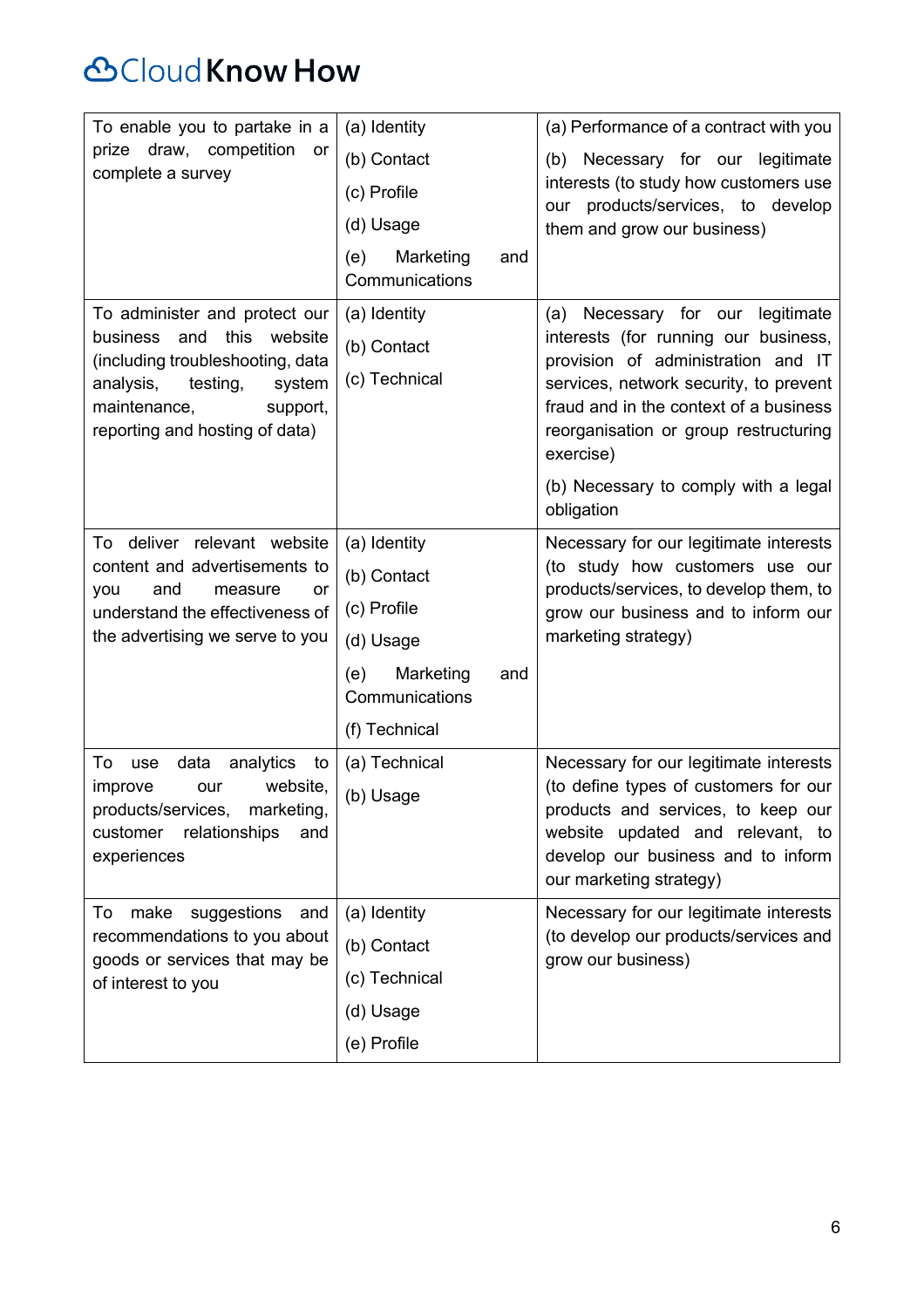# **&Cloud Know How**

| To enable you to partake in a<br>prize draw, competition<br>or<br>complete a survey                                                                                                                      | (a) Identity<br>(b) Contact<br>(c) Profile                                                                            | (a) Performance of a contract with you<br>(b) Necessary for our legitimate<br>interests (to study how customers use                                                                                                                                         |
|----------------------------------------------------------------------------------------------------------------------------------------------------------------------------------------------------------|-----------------------------------------------------------------------------------------------------------------------|-------------------------------------------------------------------------------------------------------------------------------------------------------------------------------------------------------------------------------------------------------------|
|                                                                                                                                                                                                          | (d) Usage                                                                                                             | products/services, to develop<br>our<br>them and grow our business)                                                                                                                                                                                         |
|                                                                                                                                                                                                          | Marketing<br>(e)<br>and<br>Communications                                                                             |                                                                                                                                                                                                                                                             |
| To administer and protect our<br>this<br>business<br>and<br>website<br>(including troubleshooting, data<br>analysis,<br>testing,<br>system<br>maintenance,<br>support,<br>reporting and hosting of data) | (a) Identity<br>(b) Contact<br>(c) Technical                                                                          | (a) Necessary for our<br>legitimate<br>interests (for running our business,<br>provision of administration and IT<br>services, network security, to prevent<br>fraud and in the context of a business<br>reorganisation or group restructuring<br>exercise) |
|                                                                                                                                                                                                          |                                                                                                                       | (b) Necessary to comply with a legal<br>obligation                                                                                                                                                                                                          |
| deliver relevant website<br>To<br>content and advertisements to<br>and<br>you<br>measure<br>or<br>understand the effectiveness of<br>the advertising we serve to you                                     | (a) Identity<br>(b) Contact<br>(c) Profile<br>(d) Usage<br>(e)<br>Marketing<br>and<br>Communications<br>(f) Technical | Necessary for our legitimate interests<br>(to study how customers use our<br>products/services, to develop them, to<br>grow our business and to inform our<br>marketing strategy)                                                                           |
| analytics<br>data<br>To<br>use<br>to<br>website,<br>improve<br>our<br>products/services, marketing,<br>relationships<br>customer<br>and<br>experiences                                                   | (a) Technical<br>(b) Usage                                                                                            | Necessary for our legitimate interests<br>(to define types of customers for our<br>products and services, to keep our<br>website updated and relevant, to<br>develop our business and to inform<br>our marketing strategy)                                  |
| suggestions<br>make<br>and<br>To<br>recommendations to you about<br>goods or services that may be<br>of interest to you                                                                                  | (a) Identity<br>(b) Contact<br>(c) Technical<br>(d) Usage<br>(e) Profile                                              | Necessary for our legitimate interests<br>(to develop our products/services and<br>grow our business)                                                                                                                                                       |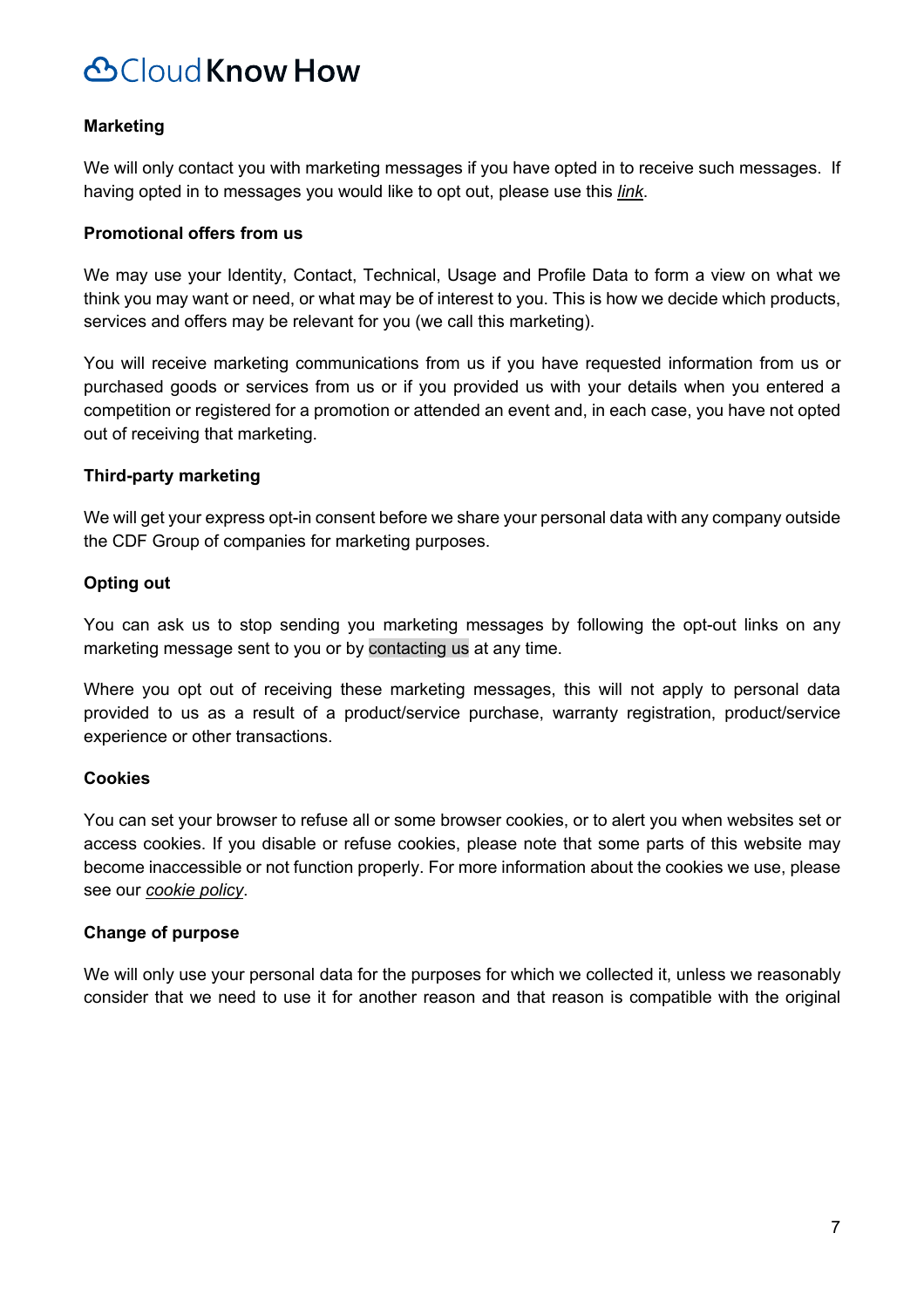### **Marketing**

We will only contact you with marketing messages if you have opted in to receive such messages. If having opted in to messages you would like to opt out, please use this *link*.

#### **Promotional offers from us**

We may use your Identity, Contact, Technical, Usage and Profile Data to form a view on what we think you may want or need, or what may be of interest to you. This is how we decide which products, services and offers may be relevant for you (we call this marketing).

You will receive marketing communications from us if you have requested information from us or purchased goods or services from us or if you provided us with your details when you entered a competition or registered for a promotion or attended an event and, in each case, you have not opted out of receiving that marketing.

#### **Third-party marketing**

We will get your express opt-in consent before we share your personal data with any company outside the CDF Group of companies for marketing purposes.

### **Opting out**

You can ask us to stop sending you marketing messages by following the opt-out links on any marketing message sent to you or by contacting us at any time.

Where you opt out of receiving these marketing messages, this will not apply to personal data provided to us as a result of a product/service purchase, warranty registration, product/service experience or other transactions.

#### **Cookies**

You can set your browser to refuse all or some browser cookies, or to alert you when websites set or access cookies. If you disable or refuse cookies, please note that some parts of this website may become inaccessible or not function properly. For more information about the cookies we use, please see our *cookie policy*.

#### **Change of purpose**

We will only use your personal data for the purposes for which we collected it, unless we reasonably consider that we need to use it for another reason and that reason is compatible with the original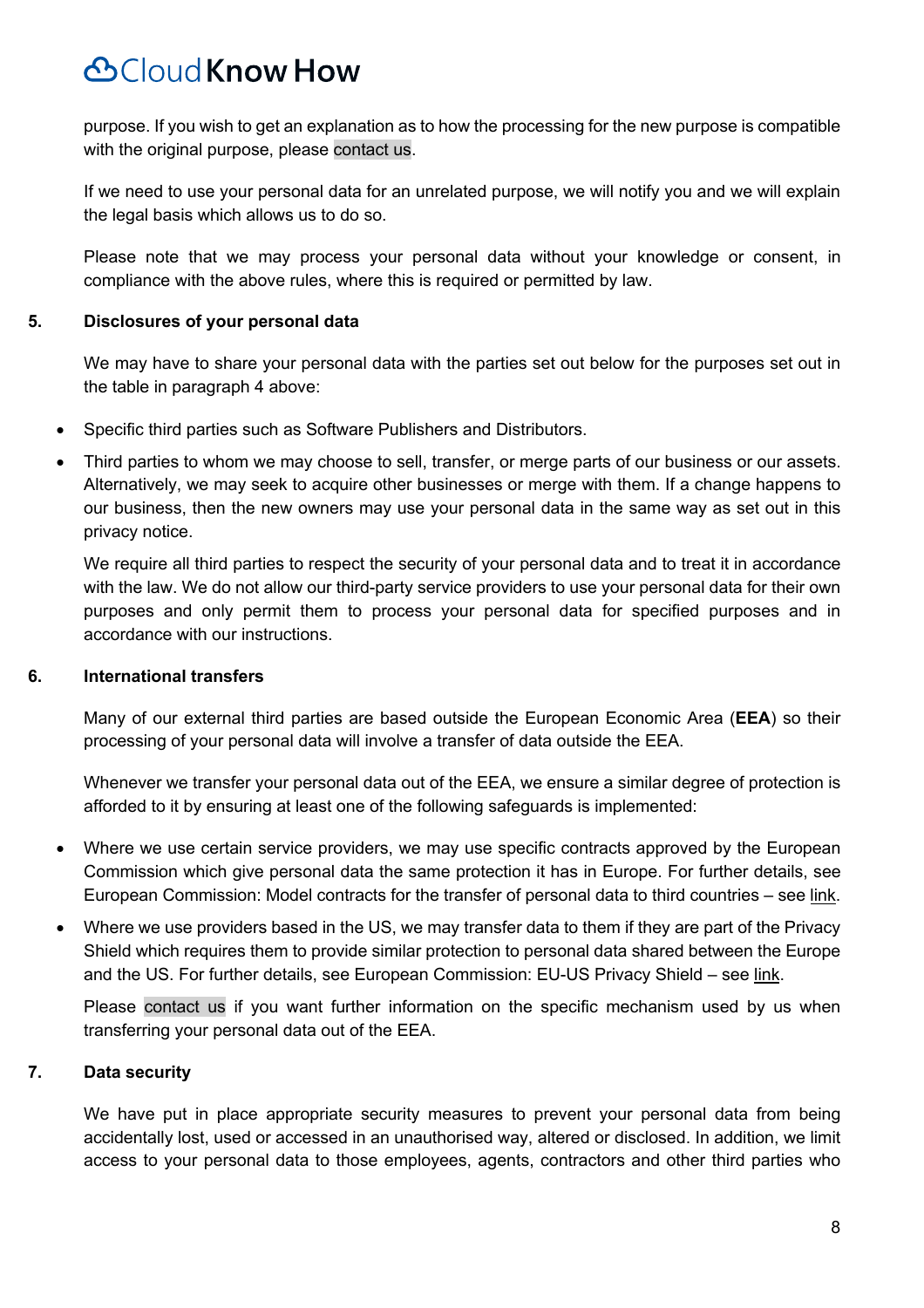purpose. If you wish to get an explanation as to how the processing for the new purpose is compatible with the original purpose, please contact us.

If we need to use your personal data for an unrelated purpose, we will notify you and we will explain the legal basis which allows us to do so.

Please note that we may process your personal data without your knowledge or consent, in compliance with the above rules, where this is required or permitted by law.

#### **5. Disclosures of your personal data**

We may have to share your personal data with the parties set out below for the purposes set out in the table in paragraph 4 above:

- Specific third parties such as Software Publishers and Distributors.
- Third parties to whom we may choose to sell, transfer, or merge parts of our business or our assets. Alternatively, we may seek to acquire other businesses or merge with them. If a change happens to our business, then the new owners may use your personal data in the same way as set out in this privacy notice.

We require all third parties to respect the security of your personal data and to treat it in accordance with the law. We do not allow our third-party service providers to use your personal data for their own purposes and only permit them to process your personal data for specified purposes and in accordance with our instructions.

#### **6. International transfers**

Many of our external third parties are based outside the European Economic Area (**EEA**) so their processing of your personal data will involve a transfer of data outside the EEA.

Whenever we transfer your personal data out of the EEA, we ensure a similar degree of protection is afforded to it by ensuring at least one of the following safeguards is implemented:

- Where we use certain service providers, we may use specific contracts approved by the European Commission which give personal data the same protection it has in Europe. For further details, see European Commission: Model contracts for the transfer of personal data to third countries – see link.
- Where we use providers based in the US, we may transfer data to them if they are part of the Privacy Shield which requires them to provide similar protection to personal data shared between the Europe and the US. For further details, see European Commission: EU-US Privacy Shield – see link.

Please contact us if you want further information on the specific mechanism used by us when transferring your personal data out of the EEA.

### **7. Data security**

We have put in place appropriate security measures to prevent your personal data from being accidentally lost, used or accessed in an unauthorised way, altered or disclosed. In addition, we limit access to your personal data to those employees, agents, contractors and other third parties who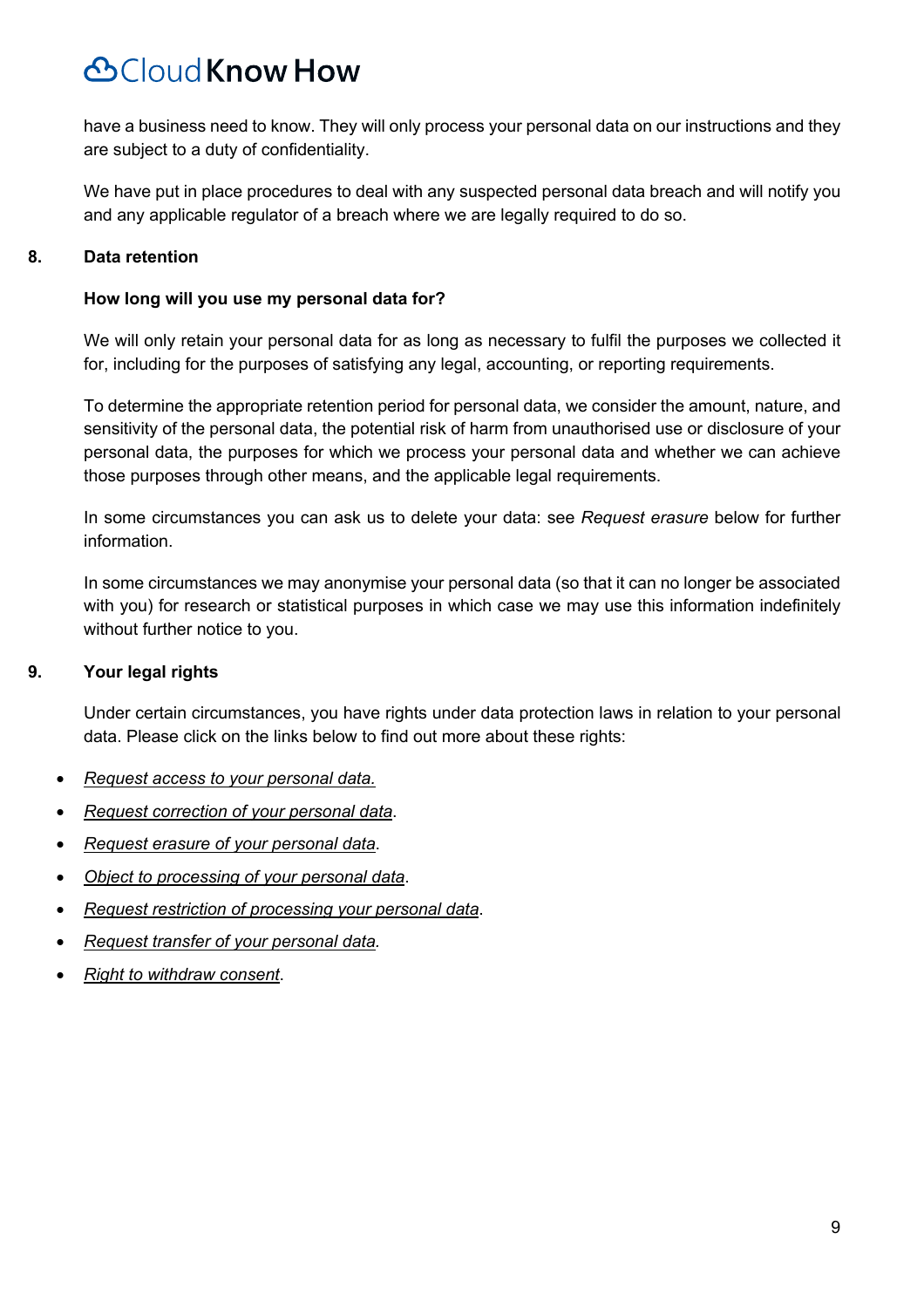have a business need to know. They will only process your personal data on our instructions and they are subject to a duty of confidentiality.

We have put in place procedures to deal with any suspected personal data breach and will notify you and any applicable regulator of a breach where we are legally required to do so.

### **8. Data retention**

#### **How long will you use my personal data for?**

We will only retain your personal data for as long as necessary to fulfil the purposes we collected it for, including for the purposes of satisfying any legal, accounting, or reporting requirements.

To determine the appropriate retention period for personal data, we consider the amount, nature, and sensitivity of the personal data, the potential risk of harm from unauthorised use or disclosure of your personal data, the purposes for which we process your personal data and whether we can achieve those purposes through other means, and the applicable legal requirements.

In some circumstances you can ask us to delete your data: see *Request erasure* below for further information.

In some circumstances we may anonymise your personal data (so that it can no longer be associated with you) for research or statistical purposes in which case we may use this information indefinitely without further notice to you.

### **9. Your legal rights**

Under certain circumstances, you have rights under data protection laws in relation to your personal data. Please click on the links below to find out more about these rights:

- *Request access to your personal data.*
- *Request correction of your personal data*.
- *Request erasure of your personal data*.
- *Object to processing of your personal data*.
- *Request restriction of processing your personal data*.
- *Request transfer of your personal data.*
- *Right to withdraw consent*.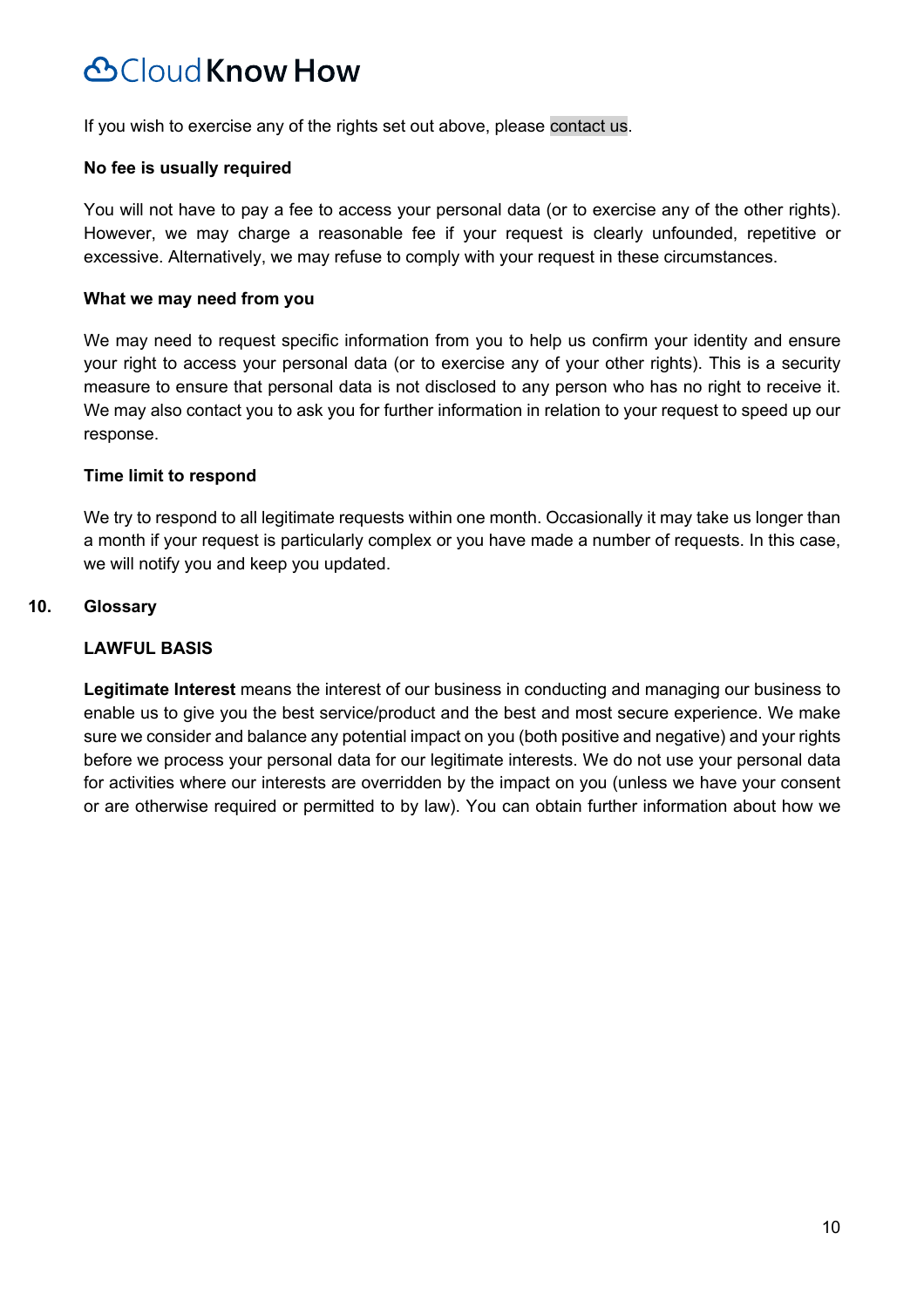If you wish to exercise any of the rights set out above, please contact us.

#### **No fee is usually required**

You will not have to pay a fee to access your personal data (or to exercise any of the other rights). However, we may charge a reasonable fee if your request is clearly unfounded, repetitive or excessive. Alternatively, we may refuse to comply with your request in these circumstances.

#### **What we may need from you**

We may need to request specific information from you to help us confirm your identity and ensure your right to access your personal data (or to exercise any of your other rights). This is a security measure to ensure that personal data is not disclosed to any person who has no right to receive it. We may also contact you to ask you for further information in relation to your request to speed up our response.

#### **Time limit to respond**

We try to respond to all legitimate requests within one month. Occasionally it may take us longer than a month if your request is particularly complex or you have made a number of requests. In this case, we will notify you and keep you updated.

### **10. Glossary**

#### **LAWFUL BASIS**

**Legitimate Interest** means the interest of our business in conducting and managing our business to enable us to give you the best service/product and the best and most secure experience. We make sure we consider and balance any potential impact on you (both positive and negative) and your rights before we process your personal data for our legitimate interests. We do not use your personal data for activities where our interests are overridden by the impact on you (unless we have your consent or are otherwise required or permitted to by law). You can obtain further information about how we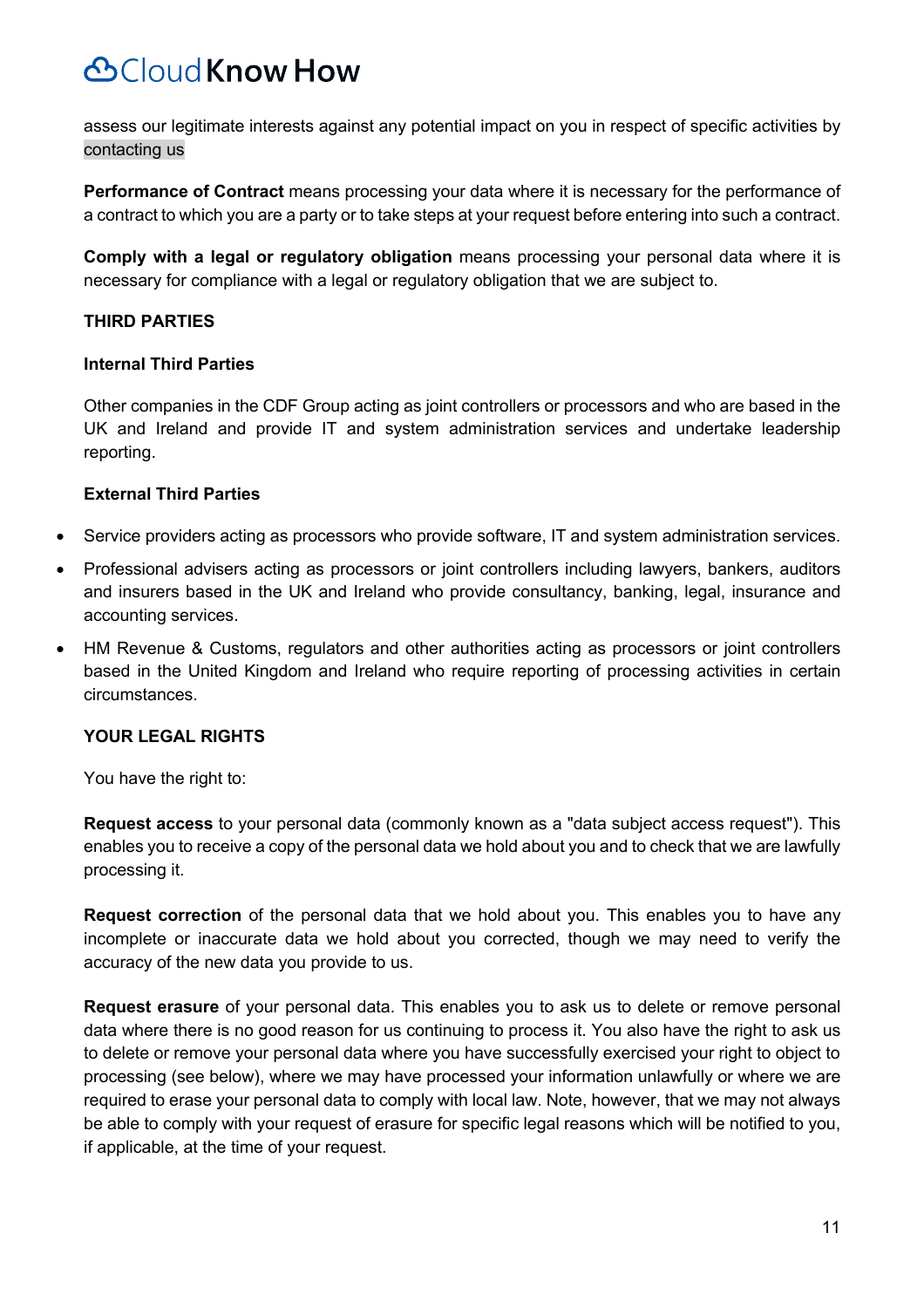assess our legitimate interests against any potential impact on you in respect of specific activities by contacting us

**Performance of Contract** means processing your data where it is necessary for the performance of a contract to which you are a party or to take steps at your request before entering into such a contract.

**Comply with a legal or regulatory obligation** means processing your personal data where it is necessary for compliance with a legal or regulatory obligation that we are subject to.

### **THIRD PARTIES**

### **Internal Third Parties**

Other companies in the CDF Group acting as joint controllers or processors and who are based in the UK and Ireland and provide IT and system administration services and undertake leadership reporting.

#### **External Third Parties**

- Service providers acting as processors who provide software, IT and system administration services.
- Professional advisers acting as processors or joint controllers including lawyers, bankers, auditors and insurers based in the UK and Ireland who provide consultancy, banking, legal, insurance and accounting services.
- HM Revenue & Customs, regulators and other authorities acting as processors or joint controllers based in the United Kingdom and Ireland who require reporting of processing activities in certain circumstances.

### **YOUR LEGAL RIGHTS**

You have the right to:

**Request access** to your personal data (commonly known as a "data subject access request"). This enables you to receive a copy of the personal data we hold about you and to check that we are lawfully processing it.

**Request correction** of the personal data that we hold about you. This enables you to have any incomplete or inaccurate data we hold about you corrected, though we may need to verify the accuracy of the new data you provide to us.

**Request erasure** of your personal data. This enables you to ask us to delete or remove personal data where there is no good reason for us continuing to process it. You also have the right to ask us to delete or remove your personal data where you have successfully exercised your right to object to processing (see below), where we may have processed your information unlawfully or where we are required to erase your personal data to comply with local law. Note, however, that we may not always be able to comply with your request of erasure for specific legal reasons which will be notified to you, if applicable, at the time of your request.